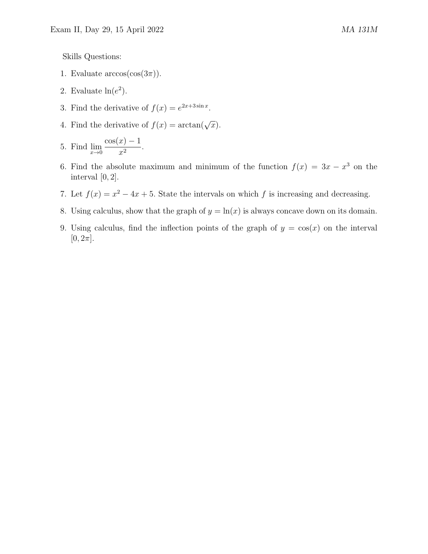Skills Questions:

- 1. Evaluate  $arccos(cos(3\pi))$ .
- 2. Evaluate  $\ln(e^2)$ .
- 3. Find the derivative of  $f(x) = e^{2x+3\sin x}$ .
- 4. Find the derivative of  $f(x) = \arctan(\sqrt{x})$ .

5. Find 
$$
\lim_{x \to 0} \frac{\cos(x) - 1}{x^2}
$$
.

- 6. Find the absolute maximum and minimum of the function  $f(x) = 3x x^3$  on the interval  $[0, 2]$ .
- 7. Let  $f(x) = x^2 4x + 5$ . State the intervals on which f is increasing and decreasing.
- 8. Using calculus, show that the graph of  $y = \ln(x)$  is always concave down on its domain.
- 9. Using calculus, find the inflection points of the graph of  $y = cos(x)$  on the interval  $[0, 2\pi]$ .